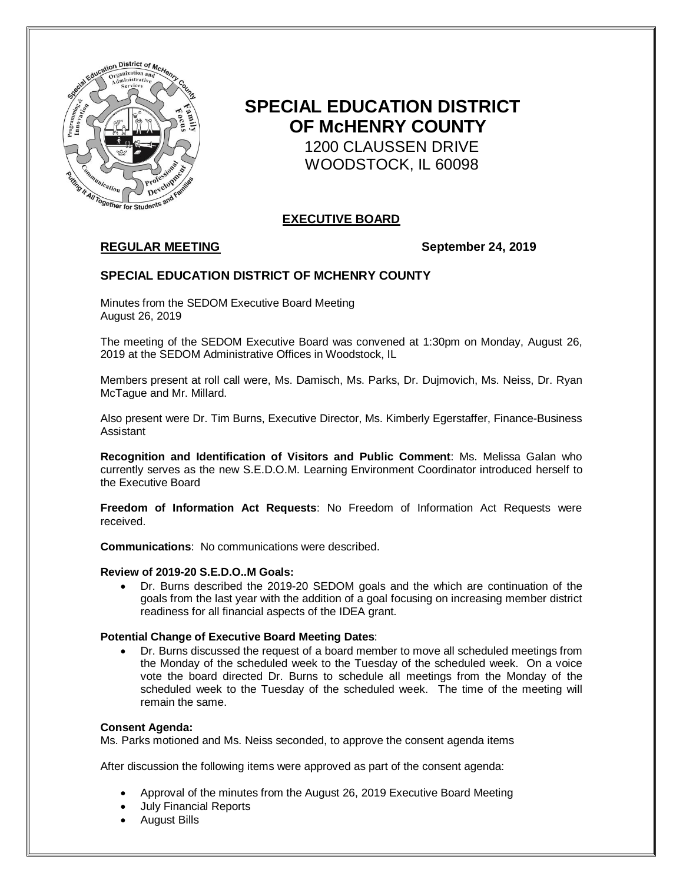

# **SPECIAL EDUCATION DISTRICT OF McHENRY COUNTY**

 1200 CLAUSSEN DRIVE WOODSTOCK, IL 60098

# **EXECUTIVE BOARD**

# **REGULAR MEETING September 24, 2019**

## **SPECIAL EDUCATION DISTRICT OF MCHENRY COUNTY**

Minutes from the SEDOM Executive Board Meeting August 26, 2019

The meeting of the SEDOM Executive Board was convened at 1:30pm on Monday, August 26, 2019 at the SEDOM Administrative Offices in Woodstock, IL

Members present at roll call were, Ms. Damisch, Ms. Parks, Dr. Dujmovich, Ms. Neiss, Dr. Ryan McTague and Mr. Millard.

Also present were Dr. Tim Burns, Executive Director, Ms. Kimberly Egerstaffer, Finance-Business Assistant

**Recognition and Identification of Visitors and Public Comment**: Ms. Melissa Galan who currently serves as the new S.E.D.O.M. Learning Environment Coordinator introduced herself to the Executive Board

**Freedom of Information Act Requests**: No Freedom of Information Act Requests were received.

**Communications**: No communications were described.

### **Review of 2019-20 S.E.D.O..M Goals:**

 Dr. Burns described the 2019-20 SEDOM goals and the which are continuation of the goals from the last year with the addition of a goal focusing on increasing member district readiness for all financial aspects of the IDEA grant.

#### **Potential Change of Executive Board Meeting Dates**:

 Dr. Burns discussed the request of a board member to move all scheduled meetings from the Monday of the scheduled week to the Tuesday of the scheduled week. On a voice vote the board directed Dr. Burns to schedule all meetings from the Monday of the scheduled week to the Tuesday of the scheduled week. The time of the meeting will remain the same.

#### **Consent Agenda:**

Ms. Parks motioned and Ms. Neiss seconded, to approve the consent agenda items

After discussion the following items were approved as part of the consent agenda:

- Approval of the minutes from the August 26, 2019 Executive Board Meeting
- July Financial Reports
- August Bills